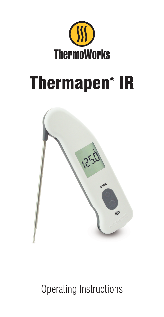

## Thermapen® IR



Operating Instructions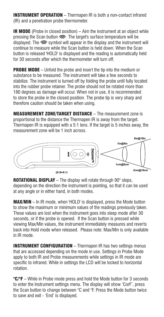INSTRUMENT OPERATION – Thermapen IR is both a non-contact infrared (IR) and a penetration probe thermometer.

**IR MODE** (Probe in closed position) – Aim the instrument at an object while pressing the Scan button  $\implies$ . The target's surface temperature will be displayed. The  $\implies$  symbol will appear in the display and the instrument will continue to measure while the Scan button is held down. When the Scan button is released 'HOLD' is displayed and the reading is automatically held for 30 seconds after which the thermometer will turn off.

**PROBE MODE** – Unfold the probe and insert the tip into the medium or substance to be measured. The instrument will take a few seconds to stabilize. The instrument is turned off by folding the probe until fully located into the rubber probe retainer. The probe should not be rotated more than 180 degrees as damage will occur. When not in use, it is recommended to store the probe in the closed position. The probe tip is very sharp and therefore caution should be taken when using.

MEASUREMENT ZONE/TARGET DISTANCE – The measurement zone is proportional to the distance the Thermapen IR is away from the target. Thermapen IR is equipped with a 5:1 lens. If the target is 5 inches away, the measurement zone will be 1 inch across.



**ROTATIONAL DISPLAY** – The display will rotate through 90° steps, depending on the direction the instrument is pointing, so that it can be used at any angle or in either hand, in both modes.

MAX/MIN – In IR mode, when 'HOLD' is displayed, press the Mode button to show the maximum or minimum values of the readings previously taken. These values are lost when the instrument goes into sleep mode after 30 seconds, or if the probe is opened. If the Scan button is pressed while viewing Max/Min values, the instrument immediately measures and reverts back into Hold mode when released. Please note: Max/Min is only available in IR mode.

**INSTRUMENT CONFIGURATION** - Thermapen IR has two settings menus that are accessed depending on the mode in use. Settings in Probe Mode apply to both IR and Probe measurements while settings in IR mode are specific to infrared. While in settings the LCD will be locked to horizontal rotation.

°C/°F – While in Probe mode press and hold the Mode button for 3 seconds to enter the Instrument settings menu. The display will show 'CorF', press the Scan button to change between °C and °F. Press the Mode button twice to save and exit - 'End' is displayed.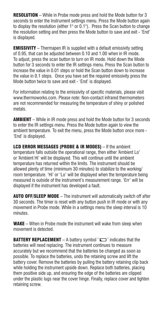**RESOLUTION** – While in Probe mode press and hold the Mode button for 3 seconds to enter the Instrument settings menu. Press the Mode button again to display the resolution (either  $1^{\circ}$  or 0.1°). Press the Scan button to change the resolution setting and then press the Mode button to save and exit - 'End' is displayed.

**EMISSIVITY** – Thermapen IR is supplied with a default emissivity setting of 0.95, that can be adjusted between 0.10 and 1.00 when in IR mode. To adjust, press the scan button to turn on IR mode. Hold down the Mode button for 3 seconds to enter the IR settings menu. Press the Scan button to increase the value in 0.01 steps or hold the Scan button down to increase the value in 0.1 steps. Once you have set the required emissivity press the Mode button twice to save and exit - 'End' is displayed.

For information relating to the emissivity of specific materials, please visit www.thermoworks.com. Please note: Non-contact infrared thermometers are not recommended for measuring the temperature of shiny or polished metals.

AMBIENT – While in IR mode press and hold the Mode button for 3 seconds to enter the IR settings menu. Press the Mode button again to view the ambient temperature. To exit the menu, press the Mode button once more - 'End' is displayed.

LCD ERROR MESSAGES (PROBE & IR MODES) – If the ambient temperature falls outside the operational range, then either 'Ambient Lo' or 'Ambient Hi' will be displayed. This will continue until the ambient temperature has returned within the limits. The instrument should be allowed plenty of time (minimum 30 minutes) to stabilize to the working/ room temperature. 'Hi' or 'Lo' will be displayed when the temperature being measured is outside of the instrument's measurement range. 'Err' will be displayed if the instrument has developed a fault.

**AUTO OFF/SLEEP MODE** – The instrument will automatically switch off after 30 seconds. The timer is reset with any button push in IR mode or with any movement in Probe mode. While in a settings menu the sleep interval is 10 minutes.

WAKE – When in Probe mode the instrument will wake from sleep when movement is detected.

**BATTERY REPLACEMENT** – A battery symbol  $' \Box'$  indicates that the batteries will need replacing. The instrument continues to measure accurately but we recommend that the batteries be changed as soon as possible. To replace the batteries, undo the retaining screw and lift the battery cover. Remove the batteries by pulling the battery retaining clip back while holding the instrument upside down. Replace both batteries, placing them positive side up, and ensuring the edge of the batteries are clipped under the plastic lugs near the cover hinge. Finally, replace cover and tighten retaining screw.